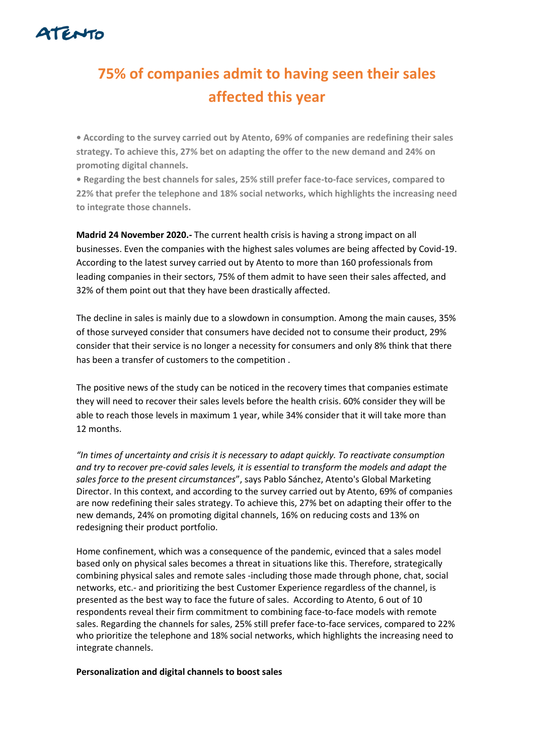

## **75% of companies admit to having seen their sales affected this year**

**• According to the survey carried out by Atento, 69% of companies are redefining their sales strategy. To achieve this, 27% bet on adapting the offer to the new demand and 24% on promoting digital channels.**

**• Regarding the best channels for sales, 25% still prefer face-to-face services, compared to 22% that prefer the telephone and 18% social networks, which highlights the increasing need to integrate those channels.**

**Madrid 24 November 2020.-** The current health crisis is having a strong impact on all businesses. Even the companies with the highest sales volumes are being affected by Covid-19. According to the latest survey carried out by Atento to more than 160 professionals from leading companies in their sectors, 75% of them admit to have seen their sales affected, and 32% of them point out that they have been drastically affected.

The decline in sales is mainly due to a slowdown in consumption. Among the main causes, 35% of those surveyed consider that consumers have decided not to consume their product, 29% consider that their service is no longer a necessity for consumers and only 8% think that there has been a transfer of customers to the competition .

The positive news of the study can be noticed in the recovery times that companies estimate they will need to recover their sales levels before the health crisis. 60% consider they will be able to reach those levels in maximum 1 year, while 34% consider that it will take more than 12 months.

*"In times of uncertainty and crisis it is necessary to adapt quickly. To reactivate consumption and try to recover pre-covid sales levels, it is essential to transform the models and adapt the sales force to the present circumstances*", says Pablo Sánchez, Atento's Global Marketing Director. In this context, and according to the survey carried out by Atento, 69% of companies are now redefining their sales strategy. To achieve this, 27% bet on adapting their offer to the new demands, 24% on promoting digital channels, 16% on reducing costs and 13% on redesigning their product portfolio.

Home confinement, which was a consequence of the pandemic, evinced that a sales model based only on physical sales becomes a threat in situations like this. Therefore, strategically combining physical sales and remote sales -including those made through phone, chat, social networks, etc.- and prioritizing the best Customer Experience regardless of the channel, is presented as the best way to face the future of sales. According to Atento, 6 out of 10 respondents reveal their firm commitment to combining face-to-face models with remote sales. Regarding the channels for sales, 25% still prefer face-to-face services, compared to 22% who prioritize the telephone and 18% social networks, which highlights the increasing need to integrate channels.

## **Personalization and digital channels to boost sales**